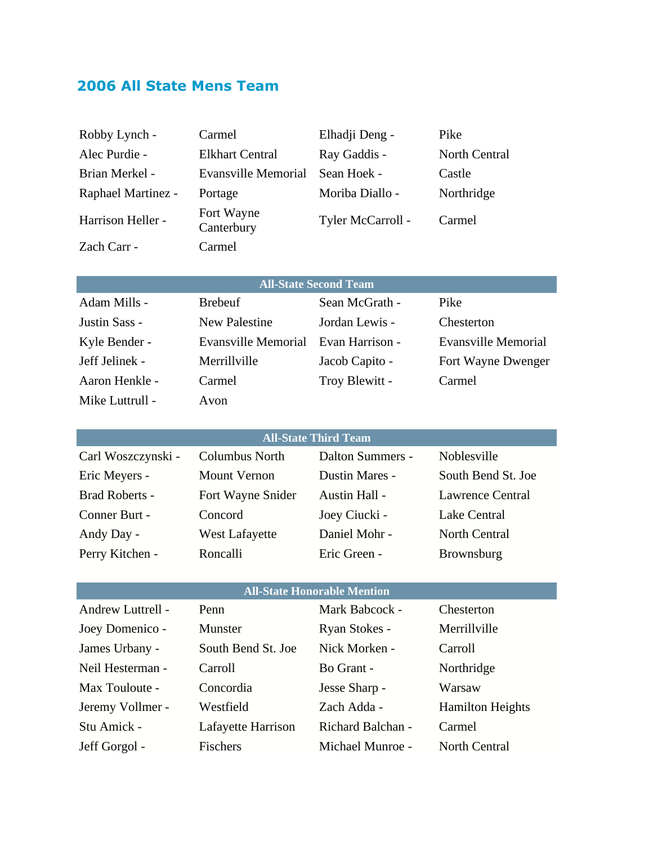# **2006 All State Mens Team**

| Robby Lynch -             | Carmel                   | Elhadji Deng -    | Pike                 |
|---------------------------|--------------------------|-------------------|----------------------|
| Alec Purdie -             | <b>Elkhart Central</b>   | Ray Gaddis -      | <b>North Central</b> |
| Brian Merkel -            | Evansville Memorial      | Sean Hoek -       | Castle               |
| <b>Raphael Martinez -</b> | Portage                  | Moriba Diallo -   | Northridge           |
| Harrison Heller -         | Fort Wayne<br>Canterbury | Tyler McCarroll - | Carmel               |
| Zach Carr -               | Carmel                   |                   |                      |
|                           |                          |                   |                      |

### **All-State Second Team**

| Adam Mills -    |
|-----------------|
| Justin Sass -   |
| Kyle Bender -   |
| Jeff Jelinek -  |
| Aaron Henkle -  |
| Mike Luttrull - |

Brebeuf Sean McGrath - Pike New Palestine Jordan Lewis - Chesterton Carmel Troy Blewitt - Carmel Avon

Evansville Memorial Evan Harrison - Evansville Memorial Merrillville Jacob Capito - Fort Wayne Dwenger

#### **All-State Third Team**

| Carl Woszczynski -    | Columbus North        | Dalton Summers - | Noblesville             |
|-----------------------|-----------------------|------------------|-------------------------|
| Eric Meyers -         | <b>Mount Vernon</b>   | Dustin Mares -   | South Bend St. Joe      |
| <b>Brad Roberts -</b> | Fort Wayne Snider     | Austin Hall -    | <b>Lawrence Central</b> |
| Conner Burt -         | Concord               | Joey Ciucki -    | Lake Central            |
| Andy Day -            | <b>West Lafayette</b> | Daniel Mohr -    | North Central           |
| Perry Kitchen -       | Roncalli              | Eric Green -     | <b>Brownsburg</b>       |

### **All-State Honorable Mention**

| Andrew Luttrell - | Penn               | Mark Babcock -    | Chesterton              |
|-------------------|--------------------|-------------------|-------------------------|
| Joey Domenico -   | Munster            | Ryan Stokes -     | Merrillville            |
| James Urbany -    | South Bend St. Joe | Nick Morken -     | Carroll                 |
| Neil Hesterman -  | Carroll            | Bo Grant -        | Northridge              |
| Max Touloute -    | Concordia          | Jesse Sharp -     | Warsaw                  |
| Jeremy Vollmer -  | Westfield          | Zach Adda -       | <b>Hamilton Heights</b> |
| Stu Amick -       | Lafayette Harrison | Richard Balchan - | Carmel                  |
| Jeff Gorgol -     | Fischers           | Michael Munroe -  | North Central           |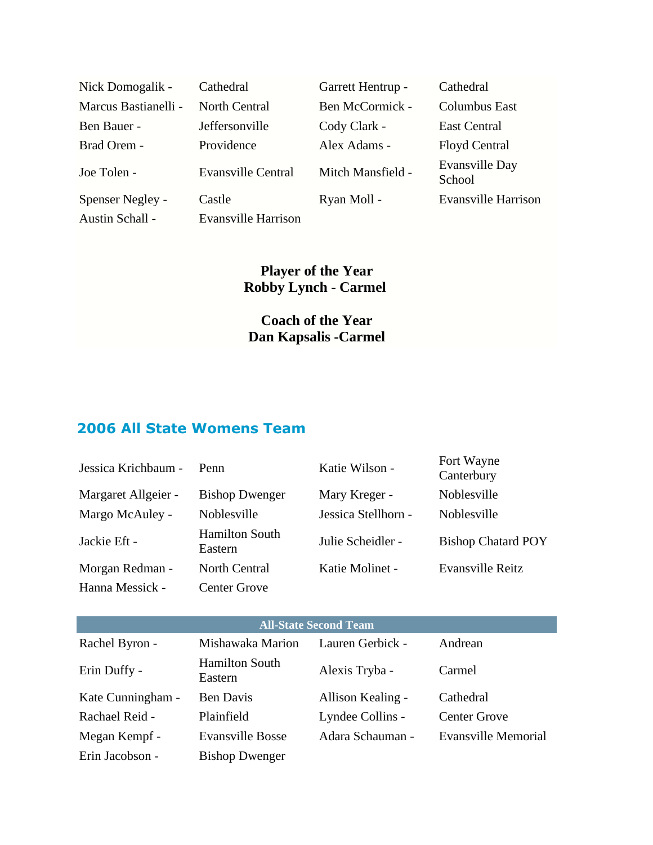| Nick Domogalik -     | Cathedral                  | Garrett Hentrup - | Cathedral                |
|----------------------|----------------------------|-------------------|--------------------------|
| Marcus Bastianelli - | North Central              | Ben McCormick -   | <b>Columbus East</b>     |
| Ben Bauer -          | Jeffersonville             | Cody Clark -      | East Central             |
| Brad Orem -          | Providence                 | Alex Adams -      | Floyd Central            |
| Joe Tolen -          | <b>Evansville Central</b>  | Mitch Mansfield - | Evansville Day<br>School |
| Spenser Negley -     | Castle                     | Ryan Moll -       | Evansville Harrison      |
| Austin Schall -      | <b>Evansville Harrison</b> |                   |                          |

## **Player of the Year Robby Lynch - Carmel**

# **Coach of the Year Dan Kapsalis -Carmel**

# **2006 All State Womens Team**

| Jessica Krichbaum - | Penn                             | Katie Wilson -      | Fort Wayne<br>Canterbury  |
|---------------------|----------------------------------|---------------------|---------------------------|
| Margaret Allgeier - | <b>Bishop Dwenger</b>            | Mary Kreger -       | Noblesville               |
| Margo McAuley -     | Noblesville                      | Jessica Stellhorn - | Noblesville               |
| Jackie Eft -        | <b>Hamilton South</b><br>Eastern | Julie Scheidler -   | <b>Bishop Chatard POY</b> |
| Morgan Redman -     | <b>North Central</b>             | Katie Molinet -     | Evansville Reitz          |
| Hanna Messick -     | <b>Center Grove</b>              |                     |                           |

| <b>All-State Second Team</b> |                     |                  |         |
|------------------------------|---------------------|------------------|---------|
| Rachel Byron -               | Mishawaka Marion    | Lauren Gerbick - | Andrean |
|                              | $\sim$ 1. $\sim$ 1. |                  |         |

| Erin Duffy -      | <b>Hamilton South</b><br>Eastern | Alexis Tryba -    | Carmel                     |
|-------------------|----------------------------------|-------------------|----------------------------|
| Kate Cunningham - | Ben Davis                        | Allison Kealing - | Cathedral                  |
| Rachael Reid -    | Plainfield                       | Lyndee Collins -  | <b>Center Grove</b>        |
| Megan Kempf -     | <b>Evansville Bosse</b>          | Adara Schauman -  | <b>Evansville Memorial</b> |
| Erin Jacobson -   | <b>Bishop Dwenger</b>            |                   |                            |